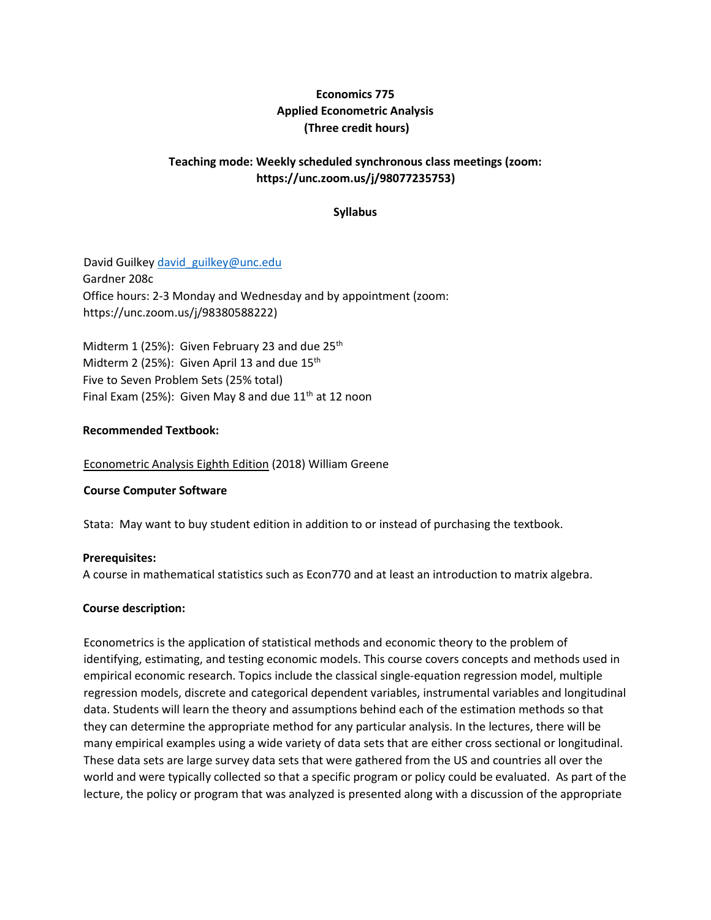# **Economics 775 Applied Econometric Analysis (Three credit hours)**

## **Teaching mode: Weekly scheduled synchronous class meetings (zoom: https://unc.zoom.us/j/98077235753)**

## **Syllabus**

David Guilkey david guilkey@unc.edu Gardner 208c Office hours: 2-3 Monday and Wednesday and by appointment (zoom: https://unc.zoom.us/j/98380588222)

Midterm 1 (25%): Given February 23 and due  $25<sup>th</sup>$ Midterm 2 (25%): Given April 13 and due  $15<sup>th</sup>$ Five to Seven Problem Sets (25% total) Final Exam (25%): Given May 8 and due  $11<sup>th</sup>$  at 12 noon

#### **Recommended Textbook:**

Econometric Analysis Eighth Edition (2018) William Greene

#### **Course Computer Software**

Stata: May want to buy student edition in addition to or instead of purchasing the textbook.

#### **Prerequisites:**

A course in mathematical statistics such as Econ770 and at least an introduction to matrix algebra.

## **Course description:**

Econometrics is the application of statistical methods and economic theory to the problem of identifying, estimating, and testing economic models. This course covers concepts and methods used in empirical economic research. Topics include the classical single‐equation regression model, multiple regression models, discrete and categorical dependent variables, instrumental variables and longitudinal data. Students will learn the theory and assumptions behind each of the estimation methods so that they can determine the appropriate method for any particular analysis. In the lectures, there will be many empirical examples using a wide variety of data sets that are either cross sectional or longitudinal. These data sets are large survey data sets that were gathered from the US and countries all over the world and were typically collected so that a specific program or policy could be evaluated. As part of the lecture, the policy or program that was analyzed is presented along with a discussion of the appropriate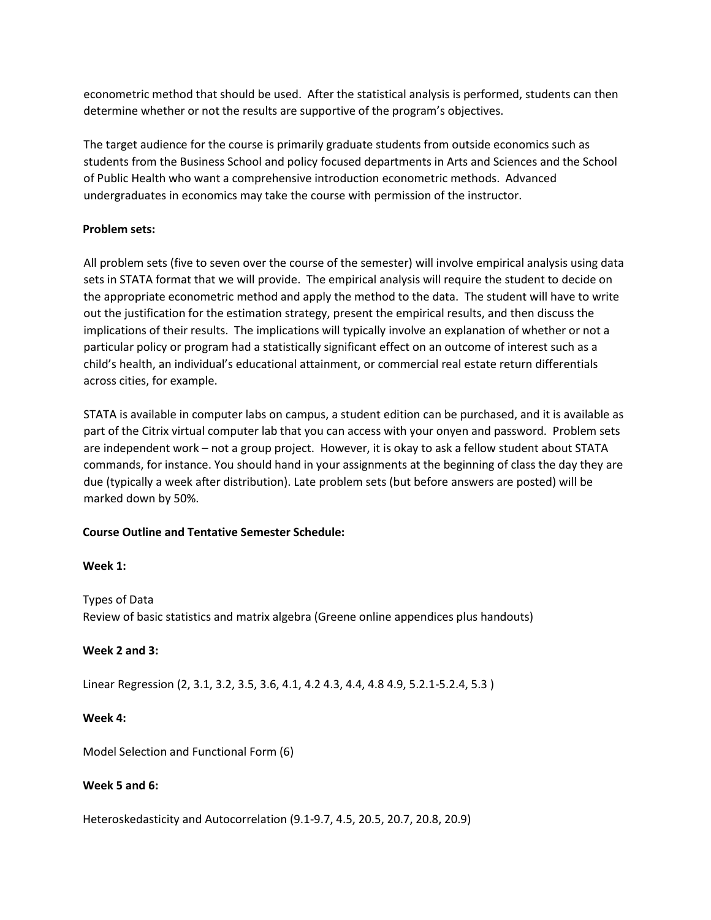econometric method that should be used. After the statistical analysis is performed, students can then determine whether or not the results are supportive of the program's objectives.

The target audience for the course is primarily graduate students from outside economics such as students from the Business School and policy focused departments in Arts and Sciences and the School of Public Health who want a comprehensive introduction econometric methods. Advanced undergraduates in economics may take the course with permission of the instructor.

### **Problem sets:**

All problem sets (five to seven over the course of the semester) will involve empirical analysis using data sets in STATA format that we will provide. The empirical analysis will require the student to decide on the appropriate econometric method and apply the method to the data. The student will have to write out the justification for the estimation strategy, present the empirical results, and then discuss the implications of their results. The implications will typically involve an explanation of whether or not a particular policy or program had a statistically significant effect on an outcome of interest such as a child's health, an individual's educational attainment, or commercial real estate return differentials across cities, for example.

STATA is available in computer labs on campus, a student edition can be purchased, and it is available as part of the Citrix virtual computer lab that you can access with your onyen and password. Problem sets are independent work – not a group project. However, it is okay to ask a fellow student about STATA commands, for instance. You should hand in your assignments at the beginning of class the day they are due (typically a week after distribution). Late problem sets (but before answers are posted) will be marked down by 50%.

#### **Course Outline and Tentative Semester Schedule:**

#### **Week 1:**

Types of Data Review of basic statistics and matrix algebra (Greene online appendices plus handouts)

#### **Week 2 and 3:**

Linear Regression (2, 3.1, 3.2, 3.5, 3.6, 4.1, 4.2 4.3, 4.4, 4.8 4.9, 5.2.1-5.2.4, 5.3 )

#### **Week 4:**

Model Selection and Functional Form (6)

#### **Week 5 and 6:**

Heteroskedasticity and Autocorrelation (9.1-9.7, 4.5, 20.5, 20.7, 20.8, 20.9)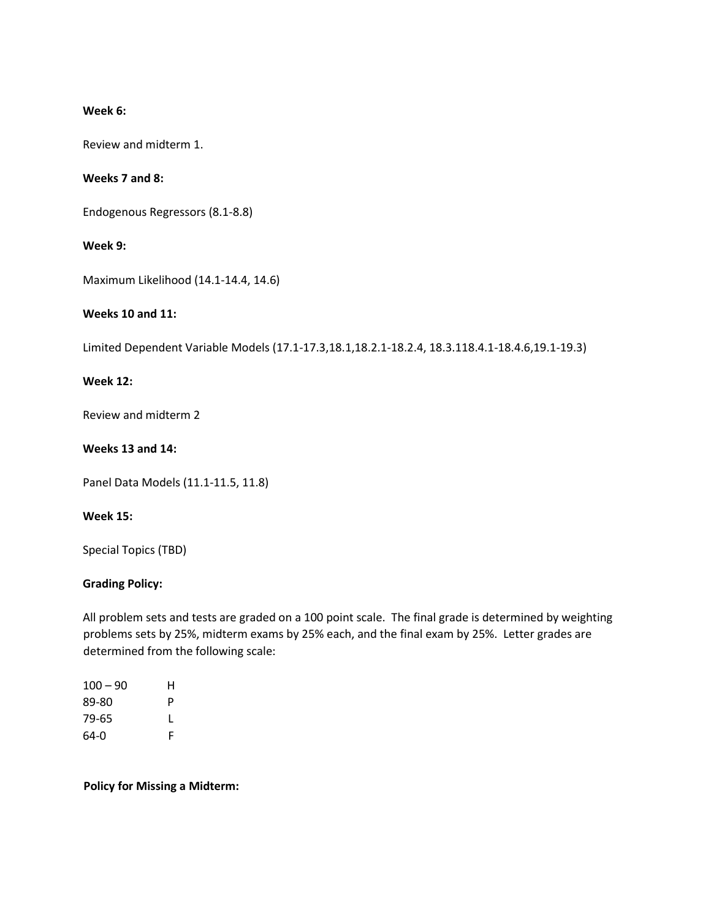### **Week 6:**

Review and midterm 1.

## **Weeks 7 and 8:**

Endogenous Regressors (8.1-8.8)

## **Week 9:**

Maximum Likelihood (14.1-14.4, 14.6)

## **Weeks 10 and 11:**

Limited Dependent Variable Models (17.1-17.3,18.1,18.2.1-18.2.4, 18.3.118.4.1-18.4.6,19.1-19.3)

#### **Week 12:**

Review and midterm 2

## **Weeks 13 and 14:**

Panel Data Models (11.1-11.5, 11.8)

#### **Week 15:**

Special Topics (TBD)

## **Grading Policy:**

All problem sets and tests are graded on a 100 point scale. The final grade is determined by weighting problems sets by 25%, midterm exams by 25% each, and the final exam by 25%. Letter grades are determined from the following scale:

| $100 - 90$ | н |
|------------|---|
| 89-80      | P |
| 79-65      | L |
| 64-0       | F |

## **Policy for Missing a Midterm:**